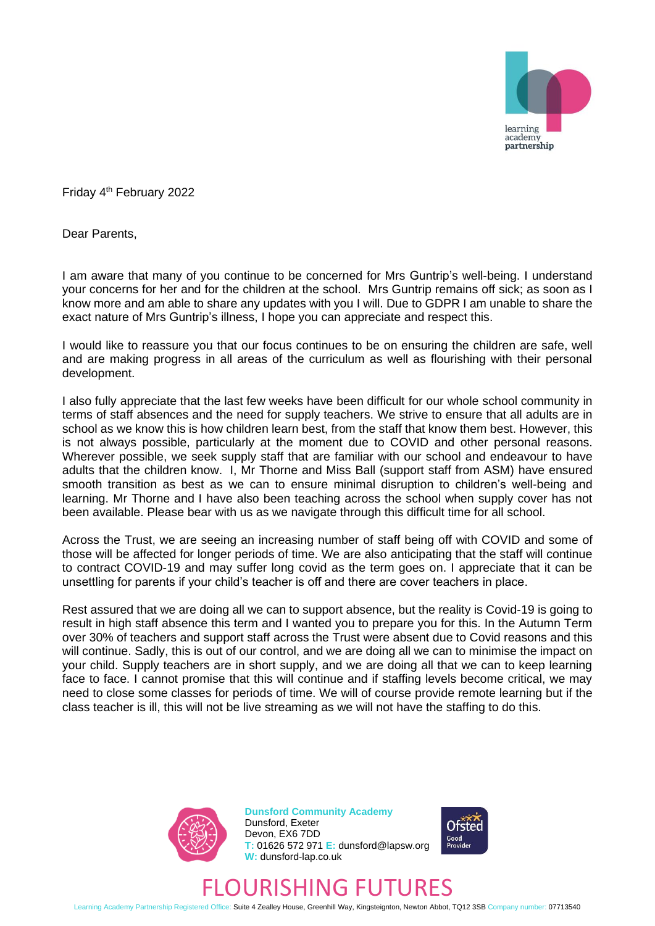

Friday 4<sup>th</sup> February 2022

Dear Parents,

I am aware that many of you continue to be concerned for Mrs Guntrip's well-being. I understand your concerns for her and for the children at the school. Mrs Guntrip remains off sick; as soon as I know more and am able to share any updates with you I will. Due to GDPR I am unable to share the exact nature of Mrs Guntrip's illness, I hope you can appreciate and respect this.

I would like to reassure you that our focus continues to be on ensuring the children are safe, well and are making progress in all areas of the curriculum as well as flourishing with their personal development.

I also fully appreciate that the last few weeks have been difficult for our whole school community in terms of staff absences and the need for supply teachers. We strive to ensure that all adults are in school as we know this is how children learn best, from the staff that know them best. However, this is not always possible, particularly at the moment due to COVID and other personal reasons. Wherever possible, we seek supply staff that are familiar with our school and endeavour to have adults that the children know. I, Mr Thorne and Miss Ball (support staff from ASM) have ensured smooth transition as best as we can to ensure minimal disruption to children's well-being and learning. Mr Thorne and I have also been teaching across the school when supply cover has not been available. Please bear with us as we navigate through this difficult time for all school.

Across the Trust, we are seeing an increasing number of staff being off with COVID and some of those will be affected for longer periods of time. We are also anticipating that the staff will continue to contract COVID-19 and may suffer long covid as the term goes on. I appreciate that it can be unsettling for parents if your child's teacher is off and there are cover teachers in place.

Rest assured that we are doing all we can to support absence, but the reality is Covid-19 is going to result in high staff absence this term and I wanted you to prepare you for this. In the Autumn Term over 30% of teachers and support staff across the Trust were absent due to Covid reasons and this will continue. Sadly, this is out of our control, and we are doing all we can to minimise the impact on your child. Supply teachers are in short supply, and we are doing all that we can to keep learning face to face. I cannot promise that this will continue and if staffing levels become critical, we may need to close some classes for periods of time. We will of course provide remote learning but if the class teacher is ill, this will not be live streaming as we will not have the staffing to do this.



**Dunsford Community Academy** Dunsford, Exeter Devon, EX6 7DD **T:** 01626 572 971 **E:** dunsford@lapsw.org **W:** dunsford-lap.co.uk



## FLOURISHING FUTURES

Learning Academy Partnership Registered Office: Suite 4 Zealley House, Greenhill Way, Kingsteignton, Newton Abbot, TQ12 3SB Company number: 07713540